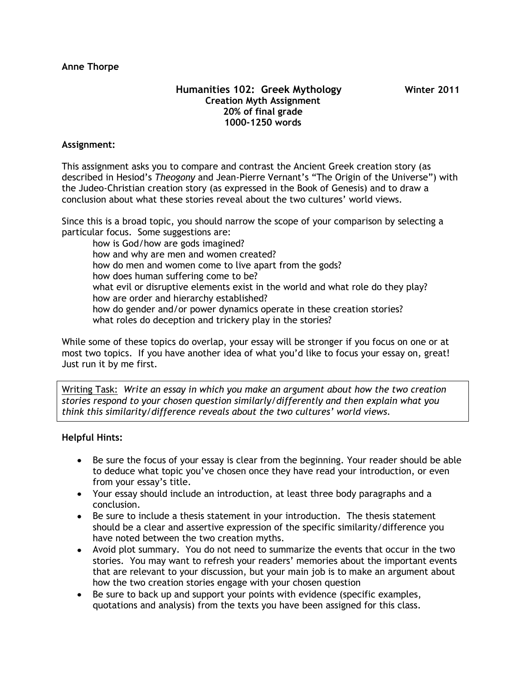## **Anne Thorpe**

## **Humanities 102: Greek Mythology** Winter 2011 **Creation Myth Assignment 20% of final grade 1000-1250 words**

## **Assignment:**

This assignment asks you to compare and contrast the Ancient Greek creation story (as described in Hesiod's *Theogony* and Jean-Pierre Vernant's "The Origin of the Universe") with the Judeo-Christian creation story (as expressed in the Book of Genesis) and to draw a conclusion about what these stories reveal about the two cultures' world views.

Since this is a broad topic, you should narrow the scope of your comparison by selecting a particular focus. Some suggestions are:

how is God/how are gods imagined? how and why are men and women created? how do men and women come to live apart from the gods? how does human suffering come to be? what evil or disruptive elements exist in the world and what role do they play? how are order and hierarchy established? how do gender and/or power dynamics operate in these creation stories? what roles do deception and trickery play in the stories?

While some of these topics do overlap, your essay will be stronger if you focus on one or at most two topics. If you have another idea of what you'd like to focus your essay on, great! Just run it by me first.

Writing Task: *Write an essay in which you make an argument about how the two creation stories respond to your chosen question similarly/differently and then explain what you think this similarity/difference reveals about the two cultures' world views.*

## **Helpful Hints:**

- Be sure the focus of your essay is clear from the beginning. Your reader should be able to deduce what topic you've chosen once they have read your introduction, or even from your essay's title.
- Your essay should include an introduction, at least three body paragraphs and a conclusion.
- Be sure to include a thesis statement in your introduction. The thesis statement should be a clear and assertive expression of the specific similarity/difference you have noted between the two creation myths.
- Avoid plot summary. You do not need to summarize the events that occur in the two stories. You may want to refresh your readers' memories about the important events that are relevant to your discussion, but your main job is to make an argument about how the two creation stories engage with your chosen question
- Be sure to back up and support your points with evidence (specific examples, quotations and analysis) from the texts you have been assigned for this class.